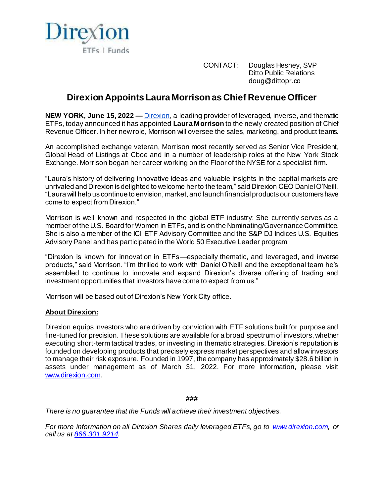

CONTACT: Douglas Hesney, SVP Ditto Public Relations doug@dittopr.co

## **Direxion Appoints Laura Morrison as Chief Revenue Officer**

**NEW YORK, June 15, 2022 —** [Direxion,](http://www.direxion.com/) a leading provider of leveraged, inverse, and thematic ETFs, today announced it has appointed **Laura Morrison** to the newly created position of Chief Revenue Officer. In her new role, Morrison will oversee the sales, marketing, and product teams.

An accomplished exchange veteran, Morrison most recently served as Senior Vice President, Global Head of Listings at Cboe and in a number of leadership roles at the New York Stock Exchange. Morrison began her career working on the Floor of the NYSE for a specialist firm.

"Laura's history of delivering innovative ideas and valuable insights in the capital markets are unrivaled and Direxion is delighted to welcome her to the team," said Direxion CEO Daniel O'Neill. "Laura will help us continue to envision, market, and launch financial products our customers have come to expect from Direxion."

Morrison is well known and respected in the global ETF industry: She currently serves as a member of the U.S. Board for Women in ETFs, and is on the Nominating/Governance Committee. She is also a member of the ICI ETF Advisory Committee and the S&P DJ Indices U.S. Equities Advisory Panel and has participated in the World 50 Executive Leader program.

"Direxion is known for innovation in ETFs—especially thematic, and leveraged, and inverse products," said Morrison. "I'm thrilled to work with Daniel O'Neill and the exceptional team he's assembled to continue to innovate and expand Direxion's diverse offering of trading and investment opportunities that investors have come to expect from us."

Morrison will be based out of Direxion's New York City office.

## **About Direxion:**

Direxion equips investors who are driven by conviction with ETF solutions built for purpose and fine-tuned for precision. These solutions are available for a broad spectrum of investors, whether executing short-term tactical trades, or investing in thematic strategies. Direxion's reputation is founded on developing products that precisely express market perspectives and allow investors to manage their risk exposure. Founded in 1997, the company has approximately \$28.6 billion in assets under management as of March 31, 2022. For more information, please visit [www.direxion.com.](http://www.direxion.com/) 

## **###**

*There is no guarantee that the Funds will achieve their investment objectives.*

*For more information on all Direxion Shares daily leveraged ETFs, go to [www.direxion.com,](http://www.direxion.com/) or call us at [866.301.9214](tel:8663019214).*